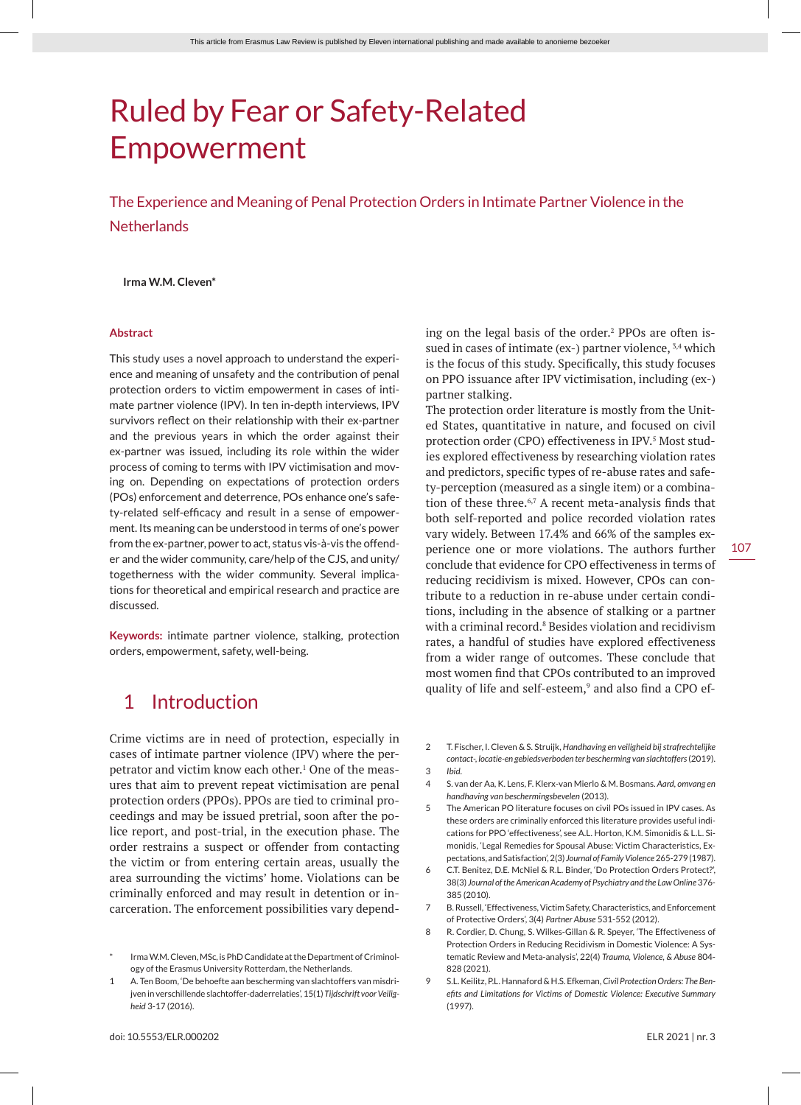# Ruled by Fear or Safety-Related Empowerment

The Experience and Meaning of Penal Protection Orders in Intimate Partner Violence in the **Netherlands** 

### **Irma W.M. Cleven\***

#### **Abstract**

This study uses a novel approach to understand the experience and meaning of unsafety and the contribution of penal protection orders to victim empowerment in cases of intimate partner violence (IPV). In ten in-depth interviews, IPV survivors reflect on their relationship with their ex-partner and the previous years in which the order against their ex-partner was issued, including its role within the wider process of coming to terms with IPV victimisation and moving on. Depending on expectations of protection orders (POs) enforcement and deterrence, POs enhance one's safety-related self-efficacy and result in a sense of empowerment. Its meaning can be understood in terms of one's power from the ex-partner, power to act, status vis-à-vis the offender and the wider community, care/help of the CJS, and unity/ togetherness with the wider community. Several implications for theoretical and empirical research and practice are discussed.

**Keywords:** intimate partner violence, stalking, protection orders, empowerment, safety, well-being.

# 1 Introduction

Crime victims are in need of protection, especially in cases of intimate partner violence (IPV) where the perpetrator and victim know each other.1 One of the measures that aim to prevent repeat victimisation are penal protection orders (PPOs). PPOs are tied to criminal proceedings and may be issued pretrial, soon after the police report, and post-trial, in the execution phase. The order restrains a suspect or offender from contacting the victim or from entering certain areas, usually the area surrounding the victims' home. Violations can be criminally enforced and may result in detention or incarceration. The enforcement possibilities vary depend-

ing on the legal basis of the order.<sup>2</sup> PPOs are often issued in cases of intimate (ex-) partner violence,  $3,4$  which is the focus of this study. Specifically, this study focuses on PPO issuance after IPV victimisation, including (ex-) partner stalking.

The protection order literature is mostly from the United States, quantitative in nature, and focused on civil protection order (CPO) effectiveness in IPV.<sup>5</sup> Most studies explored effectiveness by researching violation rates and predictors, specific types of re-abuse rates and safety-perception (measured as a single item) or a combination of these three.6,7 A recent meta-analysis finds that both self-reported and police recorded violation rates vary widely. Between 17.4% and 66% of the samples experience one or more violations. The authors further conclude that evidence for CPO effectiveness in terms of reducing recidivism is mixed. However, CPOs can contribute to a reduction in re-abuse under certain conditions, including in the absence of stalking or a partner with a criminal record.<sup>8</sup> Besides violation and recidivism rates, a handful of studies have explored effectiveness from a wider range of outcomes. These conclude that most women find that CPOs contributed to an improved quality of life and self-esteem,<sup>9</sup> and also find a CPO ef-

- 2 T. Fischer, I. Cleven & S. Struijk, *Handhaving en veiligheid bij strafrechtelijke contact-, locatie-en gebiedsverboden ter bescherming van slachtoffers* (2019). 3 *Ibid*.
- 4 S. van der Aa, K. Lens, F. Klerx-van Mierlo & M. Bosmans. *Aard, omvang en handhaving van beschermingsbevelen* (2013).
- 5 The American PO literature focuses on civil POs issued in IPV cases. As these orders are criminally enforced this literature provides useful indications for PPO 'effectiveness', see A.L. Horton, K.M. Simonidis & L.L. Simonidis, 'Legal Remedies for Spousal Abuse: Victim Characteristics, Expectations, and Satisfaction', 2(3) *Journal of Family Violence* 265-279 (1987).
- 6 C.T. Benitez, D.E. McNiel & R.L. Binder, 'Do Protection Orders Protect?', 38(3) *Journal of the American Academy of Psychiatry and the Law Online* 376- 385 (2010).
- 7 B. Russell, 'Effectiveness, Victim Safety, Characteristics, and Enforcement of Protective Orders', 3(4) *Partner Abuse* 531-552 (2012).
- 8 R. Cordier, D. Chung, S. Wilkes-Gillan & R. Speyer, 'The Effectiveness of Protection Orders in Reducing Recidivism in Domestic Violence: A Systematic Review and Meta-analysis', 22(4) *Trauma, Violence, & Abuse* 804- 828 (2021).
- 9 S.L. Keilitz, P.L. Hannaford & H.S. Efkeman, *Civil Protection Orders: The Benefits and Limitations for Victims of Domestic Violence: Executive Summary* (1997).

Irma W.M. Cleven, MSc, is PhD Candidate at the Department of Criminology of the Erasmus University Rotterdam, the Netherlands.

<sup>1</sup> A. Ten Boom, 'De behoefte aan bescherming van slachtoffers van misdrijven in verschillende slachtoffer-daderrelaties', 15(1) *Tijdschrift voor Veiligheid* 3-17 (2016).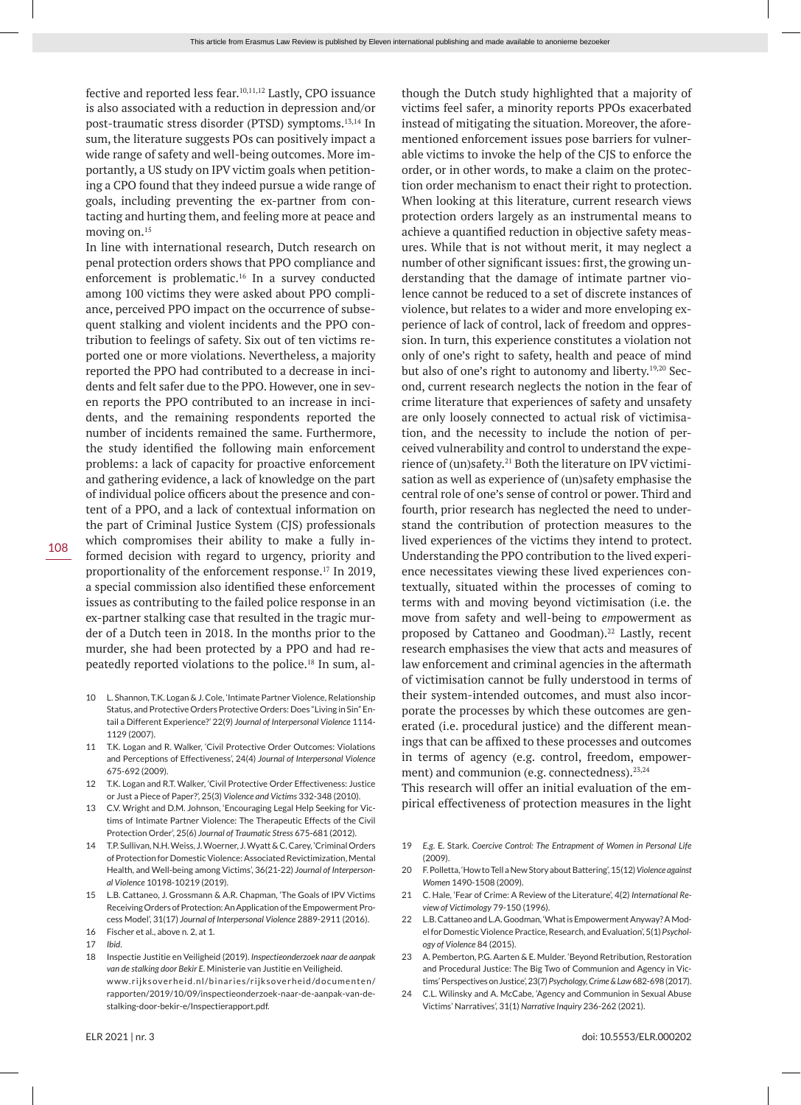fective and reported less fear.<sup>10,11,12</sup> Lastly, CPO issuance is also associated with a reduction in depression and/or post-traumatic stress disorder (PTSD) symptoms.13,14 In sum, the literature suggests POs can positively impact a wide range of safety and well-being outcomes. More importantly, a US study on IPV victim goals when petitioning a CPO found that they indeed pursue a wide range of goals, including preventing the ex-partner from contacting and hurting them, and feeling more at peace and moving on.15

In line with international research, Dutch research on penal protection orders shows that PPO compliance and enforcement is problematic.16 In a survey conducted among 100 victims they were asked about PPO compliance, perceived PPO impact on the occurrence of subsequent stalking and violent incidents and the PPO contribution to feelings of safety. Six out of ten victims reported one or more violations. Nevertheless, a majority reported the PPO had contributed to a decrease in incidents and felt safer due to the PPO. However, one in seven reports the PPO contributed to an increase in incidents, and the remaining respondents reported the number of incidents remained the same. Furthermore, the study identified the following main enforcement problems: a lack of capacity for proactive enforcement and gathering evidence, a lack of knowledge on the part of individual police officers about the presence and content of a PPO, and a lack of contextual information on the part of Criminal Justice System (CJS) professionals which compromises their ability to make a fully informed decision with regard to urgency, priority and proportionality of the enforcement response.17 In 2019, a special commission also identified these enforcement issues as contributing to the failed police response in an ex-partner stalking case that resulted in the tragic murder of a Dutch teen in 2018. In the months prior to the murder, she had been protected by a PPO and had repeatedly reported violations to the police.18 In sum, al-

- 10 L. Shannon, T.K. Logan & J. Cole, 'Intimate Partner Violence, Relationship Status, and Protective Orders Protective Orders: Does "Living in Sin" Entail a Different Experience?' 22(9) *Journal of Interpersonal Violence* 1114- 1129 (2007).
- 11 T.K. Logan and R. Walker, 'Civil Protective Order Outcomes: Violations and Perceptions of Effectiveness', 24(4) *Journal of Interpersonal Violence* 675-692 (2009).
- 12 T.K. Logan and R.T. Walker, 'Civil Protective Order Effectiveness: Justice or Just a Piece of Paper?', 25(3) *Violence and Victims* 332-348 (2010).
- 13 C.V. Wright and D.M. Johnson, 'Encouraging Legal Help Seeking for Victims of Intimate Partner Violence: The Therapeutic Effects of the Civil Protection Order', 25(6) *Journal of Traumatic Stress* 675-681 (2012).
- 14 T.P. Sullivan, N.H. Weiss, J. Woerner, J. Wyatt & C. Carey, 'Criminal Orders of Protection for Domestic Violence: Associated Revictimization, Mental Health, and Well-being among Victims', 36(21-22) *Journal of Interpersonal Violence* 10198-10219 (2019).
- 15 L.B. Cattaneo, J. Grossmann & A.R. Chapman, 'The Goals of IPV Victims Receiving Orders of Protection: An Application of the Empowerment Process Model', 31(17) *Journal of Interpersonal Violence* 2889-2911 (2016).
- 16 Fischer et al., above n. 2, at 1.
- 17 *Ibid*.
- 18 Inspectie Justitie en Veiligheid (2019). *Inspectieonderzoek naar de aanpak van de stalking door Bekir E*. Ministerie van Justitie en Veiligheid. www.rijksoverheid.nl/binaries/rijksoverheid/documenten/ rapporten/2019/10/09/inspectieonderzoek-naar-de-aanpak-van-destalking-door-bekir-e/Inspectierapport.pdf.

though the Dutch study highlighted that a majority of victims feel safer, a minority reports PPOs exacerbated instead of mitigating the situation. Moreover, the aforementioned enforcement issues pose barriers for vulnerable victims to invoke the help of the CJS to enforce the order, or in other words, to make a claim on the protection order mechanism to enact their right to protection. When looking at this literature, current research views protection orders largely as an instrumental means to achieve a quantified reduction in objective safety measures. While that is not without merit, it may neglect a number of other significant issues: first, the growing understanding that the damage of intimate partner violence cannot be reduced to a set of discrete instances of violence, but relates to a wider and more enveloping experience of lack of control, lack of freedom and oppression. In turn, this experience constitutes a violation not only of one's right to safety, health and peace of mind but also of one's right to autonomy and liberty.<sup>19,20</sup> Second, current research neglects the notion in the fear of crime literature that experiences of safety and unsafety are only loosely connected to actual risk of victimisation, and the necessity to include the notion of perceived vulnerability and control to understand the experience of (un)safety.21 Both the literature on IPV victimisation as well as experience of (un)safety emphasise the central role of one's sense of control or power. Third and fourth, prior research has neglected the need to understand the contribution of protection measures to the lived experiences of the victims they intend to protect. Understanding the PPO contribution to the lived experience necessitates viewing these lived experiences contextually, situated within the processes of coming to terms with and moving beyond victimisation (i.e. the move from safety and well-being to *em*powerment as proposed by Cattaneo and Goodman).<sup>22</sup> Lastly, recent research emphasises the view that acts and measures of law enforcement and criminal agencies in the aftermath of victimisation cannot be fully understood in terms of their system-intended outcomes, and must also incorporate the processes by which these outcomes are generated (i.e. procedural justice) and the different meanings that can be affixed to these processes and outcomes in terms of agency (e.g. control, freedom, empowerment) and communion (e.g. connectedness).<sup>23,24</sup>

This research will offer an initial evaluation of the empirical effectiveness of protection measures in the light

- 19 *E.g*. E. Stark. *Coercive Control: The Entrapment of Women in Personal Life* (2009).
- 20 F. Polletta, 'How to Tell a New Story about Battering', 15(12) *Violence against Women* 1490-1508 (2009).
- 21 C. Hale, 'Fear of Crime: A Review of the Literature', 4(2) *International Review of Victimology* 79-150 (1996).
- 22 L.B. Cattaneo and L.A. Goodman, 'What is Empowerment Anyway? A Model for Domestic Violence Practice, Research, and Evaluation', 5(1) *Psychology of Violence* 84 (2015).
- 23 A. Pemberton, P.G. Aarten & E. Mulder. 'Beyond Retribution, Restoration and Procedural Justice: The Big Two of Communion and Agency in Victims' Perspectives on Justice', 23(7) *Psychology, Crime & Law* 682-698 (2017).
- 24 C.L. Wilinsky and A. McCabe, 'Agency and Communion in Sexual Abuse Victims' Narratives', 31(1) *Narrative Inquiry* 236-262 (2021).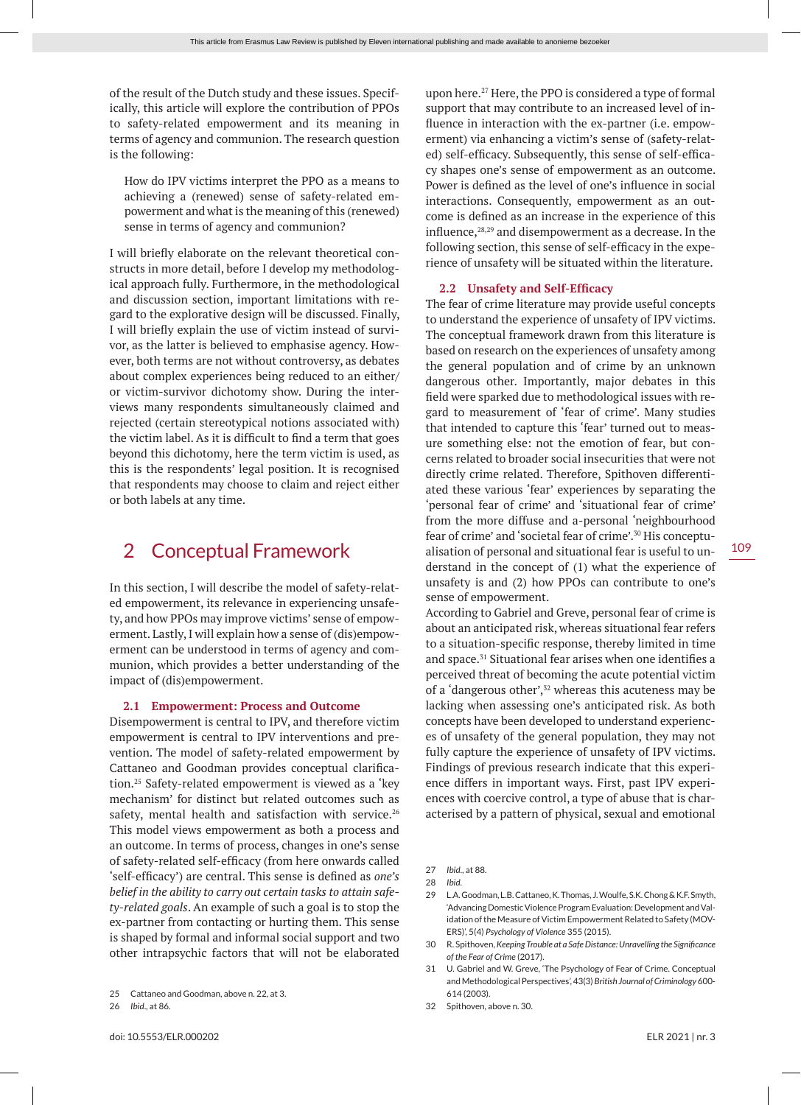of the result of the Dutch study and these issues. Specifically, this article will explore the contribution of PPOs to safety-related empowerment and its meaning in terms of agency and communion. The research question is the following:

How do IPV victims interpret the PPO as a means to achieving a (renewed) sense of safety-related empowerment and what is the meaning of this (renewed) sense in terms of agency and communion?

I will briefly elaborate on the relevant theoretical constructs in more detail, before I develop my methodological approach fully. Furthermore, in the methodological and discussion section, important limitations with regard to the explorative design will be discussed. Finally, I will briefly explain the use of victim instead of survivor, as the latter is believed to emphasise agency. However, both terms are not without controversy, as debates about complex experiences being reduced to an either/ or victim-survivor dichotomy show. During the interviews many respondents simultaneously claimed and rejected (certain stereotypical notions associated with) the victim label. As it is difficult to find a term that goes beyond this dichotomy, here the term victim is used, as this is the respondents' legal position. It is recognised that respondents may choose to claim and reject either or both labels at any time.

# 2 Conceptual Framework

In this section, I will describe the model of safety-related empowerment, its relevance in experiencing unsafety, and how PPOs may improve victims' sense of empowerment. Lastly, I will explain how a sense of (dis)empowerment can be understood in terms of agency and communion, which provides a better understanding of the impact of (dis)empowerment.

# **2.1 Empowerment: Process and Outcome**

Disempowerment is central to IPV, and therefore victim empowerment is central to IPV interventions and prevention. The model of safety-related empowerment by Cattaneo and Goodman provides conceptual clarification.25 Safety-related empowerment is viewed as a 'key mechanism' for distinct but related outcomes such as safety, mental health and satisfaction with service.<sup>26</sup> This model views empowerment as both a process and an outcome. In terms of process, changes in one's sense of safety-related self-efficacy (from here onwards called 'self-efficacy') are central. This sense is defined as *one's belief in the ability to carry out certain tasks to attain safety-related goals*. An example of such a goal is to stop the ex-partner from contacting or hurting them. This sense is shaped by formal and informal social support and two other intrapsychic factors that will not be elaborated

26 *Ibid*., at 86.

upon here.27 Here, the PPO is considered a type of formal support that may contribute to an increased level of influence in interaction with the ex-partner (i.e. empowerment) via enhancing a victim's sense of (safety-related) self-efficacy. Subsequently, this sense of self-efficacy shapes one's sense of empowerment as an outcome. Power is defined as the level of one's influence in social interactions. Consequently, empowerment as an outcome is defined as an increase in the experience of this influence,<sup>28,29</sup> and disempowerment as a decrease. In the following section, this sense of self-efficacy in the experience of unsafety will be situated within the literature.

#### **2.2 Unsafety and Self-Efficacy**

The fear of crime literature may provide useful concepts to understand the experience of unsafety of IPV victims. The conceptual framework drawn from this literature is based on research on the experiences of unsafety among the general population and of crime by an unknown dangerous other. Importantly, major debates in this field were sparked due to methodological issues with regard to measurement of 'fear of crime'. Many studies that intended to capture this 'fear' turned out to measure something else: not the emotion of fear, but concerns related to broader social insecurities that were not directly crime related. Therefore, Spithoven differentiated these various 'fear' experiences by separating the 'personal fear of crime' and 'situational fear of crime' from the more diffuse and a-personal 'neighbourhood fear of crime' and 'societal fear of crime'.30 His conceptualisation of personal and situational fear is useful to understand in the concept of (1) what the experience of unsafety is and (2) how PPOs can contribute to one's sense of empowerment.

According to Gabriel and Greve, personal fear of crime is about an anticipated risk, whereas situational fear refers to a situation-specific response, thereby limited in time and space.31 Situational fear arises when one identifies a perceived threat of becoming the acute potential victim of a 'dangerous other',<sup>32</sup> whereas this acuteness may be lacking when assessing one's anticipated risk. As both concepts have been developed to understand experiences of unsafety of the general population, they may not fully capture the experience of unsafety of IPV victims. Findings of previous research indicate that this experience differs in important ways. First, past IPV experiences with coercive control, a type of abuse that is characterised by a pattern of physical, sexual and emotional

27 *Ibid*., at 88.

30 R. Spithoven, *Keeping Trouble at a Safe Distance: Unravelling the Significance of the Fear of Crime* (2017).

31 U. Gabriel and W. Greve, 'The Psychology of Fear of Crime. Conceptual and Methodological Perspectives', 43(3) *British Journal of Criminology* 600- 614 (2003).

32 Spithoven, above n. 30.

<sup>25</sup> Cattaneo and Goodman, above n. 22, at 3.

<sup>28</sup> *Ibid*.

<sup>29</sup> L.A. Goodman, L.B. Cattaneo, K. Thomas, J. Woulfe, S.K. Chong & K.F. Smyth, 'Advancing Domestic Violence Program Evaluation: Development and Validation of the Measure of Victim Empowerment Related to Safety (MOV-ERS)', 5(4) *Psychology of Violence* 355 (2015).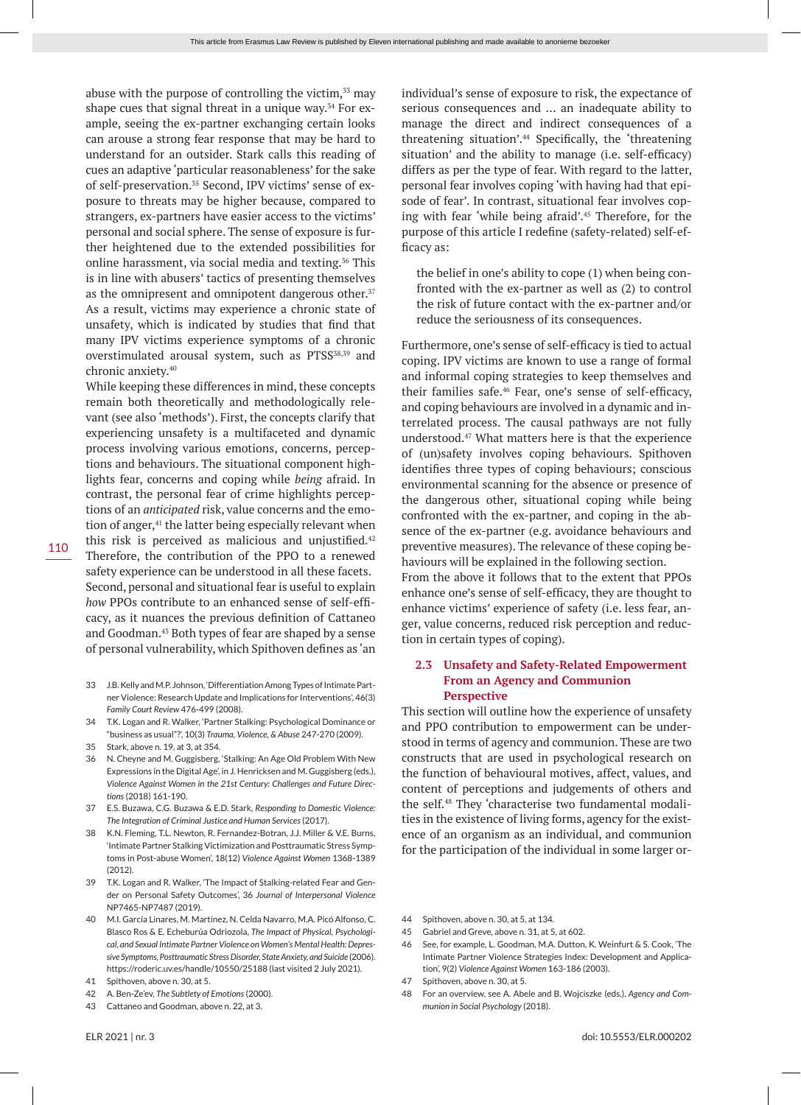abuse with the purpose of controlling the victim, $33$  may shape cues that signal threat in a unique way. $34$  For example, seeing the ex-partner exchanging certain looks can arouse a strong fear response that may be hard to understand for an outsider. Stark calls this reading of cues an adaptive 'particular reasonableness' for the sake of self-preservation.<sup>35</sup> Second, IPV victims' sense of exposure to threats may be higher because, compared to strangers, ex-partners have easier access to the victims' personal and social sphere. The sense of exposure is further heightened due to the extended possibilities for online harassment, via social media and texting.36 This is in line with abusers' tactics of presenting themselves as the omnipresent and omnipotent dangerous other.<sup>37</sup> As a result, victims may experience a chronic state of unsafety, which is indicated by studies that find that many IPV victims experience symptoms of a chronic overstimulated arousal system, such as PTSS<sup>38,39</sup> and chronic anxiety.40

While keeping these differences in mind, these concepts remain both theoretically and methodologically relevant (see also 'methods'). First, the concepts clarify that experiencing unsafety is a multifaceted and dynamic process involving various emotions, concerns, perceptions and behaviours. The situational component highlights fear, concerns and coping while *being* afraid. In contrast, the personal fear of crime highlights perceptions of an *anticipated* risk, value concerns and the emotion of anger,<sup>41</sup> the latter being especially relevant when this risk is perceived as malicious and uniustified. $42$ Therefore, the contribution of the PPO to a renewed safety experience can be understood in all these facets. Second, personal and situational fear is useful to explain *how* PPOs contribute to an enhanced sense of self-efficacy, as it nuances the previous definition of Cattaneo and Goodman.43 Both types of fear are shaped by a sense of personal vulnerability, which Spithoven defines as 'an

- 33 J.B. Kelly and M.P. Johnson, 'Differentiation Among Types of Intimate Partner Violence: Research Update and Implications for Interventions', 46(3) *Family Court Review* 476-499 (2008).
- 34 T.K. Logan and R. Walker, 'Partner Stalking: Psychological Dominance or "business as usual"?', 10(3) *Trauma, Violence, & Abuse* 247-270 (2009).
- 35 Stark, above n. 19, at 3, at 354.
- 36 N. Cheyne and M. Guggisberg, 'Stalking: An Age Old Problem With New Expressions in the Digital Age', in J. Henricksen and M. Guggisberg (eds.), *Violence Against Women in the 21st Century: Challenges and Future Directions* (2018) 161-190.
- 37 E.S. Buzawa, C.G. Buzawa & E.D. Stark, *Responding to Domestic Violence: The Integration of Criminal Justice and Human Services* (2017).
- 38 K.N. Fleming, T.L. Newton, R. Fernandez-Botran, J.J. Miller & V.E. Burns, 'Intimate Partner Stalking Victimization and Posttraumatic Stress Symptoms in Post-abuse Women', 18(12) *Violence Against Women* 1368-1389 (2012).
- 39 T.K. Logan and R. Walker, 'The Impact of Stalking-related Fear and Gender on Personal Safety Outcomes', 36 *Journal of Interpersonal Violence* NP7465-NP7487 (2019).
- 40 M.I. García Linares, M. Martínez, N. Celda Navarro, M.A. Picó Alfonso, C. Blasco Ros & E. Echeburúa Odriozola, *The Impact of Physical, Psychological, and Sexual Intimate Partner Violence on Women's Mental Health: Depressive Symptoms, Posttraumatic Stress Disorder, State Anxiety, and Suicide* (2006). https://roderic.uv.es/handle/10550/25188 (last visited 2 July 2021).
- 41 Spithoven, above n. 30, at 5.
- 42 A. Ben-Ze'ev, *The Subtlety of Emotions* (2000).
- 43 Cattaneo and Goodman, above n. 22, at 3.

individual's sense of exposure to risk, the expectance of serious consequences and … an inadequate ability to manage the direct and indirect consequences of a threatening situation'.44 Specifically, the 'threatening situation' and the ability to manage (i.e. self-efficacy) differs as per the type of fear. With regard to the latter, personal fear involves coping 'with having had that episode of fear'. In contrast, situational fear involves coping with fear 'while being afraid'.45 Therefore, for the purpose of this article I redefine (safety-related) self-efficacy as:

the belief in one's ability to cope (1) when being confronted with the ex-partner as well as (2) to control the risk of future contact with the ex-partner and/or reduce the seriousness of its consequences.

Furthermore, one's sense of self-efficacy is tied to actual coping. IPV victims are known to use a range of formal and informal coping strategies to keep themselves and their families safe.46 Fear, one's sense of self-efficacy, and coping behaviours are involved in a dynamic and interrelated process. The causal pathways are not fully understood.47 What matters here is that the experience of (un)safety involves coping behaviours. Spithoven identifies three types of coping behaviours; conscious environmental scanning for the absence or presence of the dangerous other, situational coping while being confronted with the ex-partner, and coping in the absence of the ex-partner (e.g. avoidance behaviours and preventive measures). The relevance of these coping behaviours will be explained in the following section. From the above it follows that to the extent that PPOs enhance one's sense of self-efficacy, they are thought to enhance victims' experience of safety (i.e. less fear, anger, value concerns, reduced risk perception and reduction in certain types of coping).

# **2.3 Unsafety and Safety-Related Empowerment From an Agency and Communion Perspective**

This section will outline how the experience of unsafety and PPO contribution to empowerment can be understood in terms of agency and communion. These are two constructs that are used in psychological research on the function of behavioural motives, affect, values, and content of perceptions and judgements of others and the self.48 They 'characterise two fundamental modalities in the existence of living forms, agency for the existence of an organism as an individual, and communion for the participation of the individual in some larger or-

- 45 Gabriel and Greve, above n. 31, at 5, at 602.
- 46 See, for example, L. Goodman, M.A. Dutton, K. Weinfurt & S. Cook, 'The Intimate Partner Violence Strategies Index: Development and Application', 9(2) *Violence Against Women* 163-186 (2003).
- 47 Spithoven, above n. 30, at 5.
- 48 For an overview, see A. Abele and B. Wojciszke (eds.), *Agency and Communion in Social Psychology* (2018).

<sup>44</sup> Spithoven, above n. 30, at 5, at 134.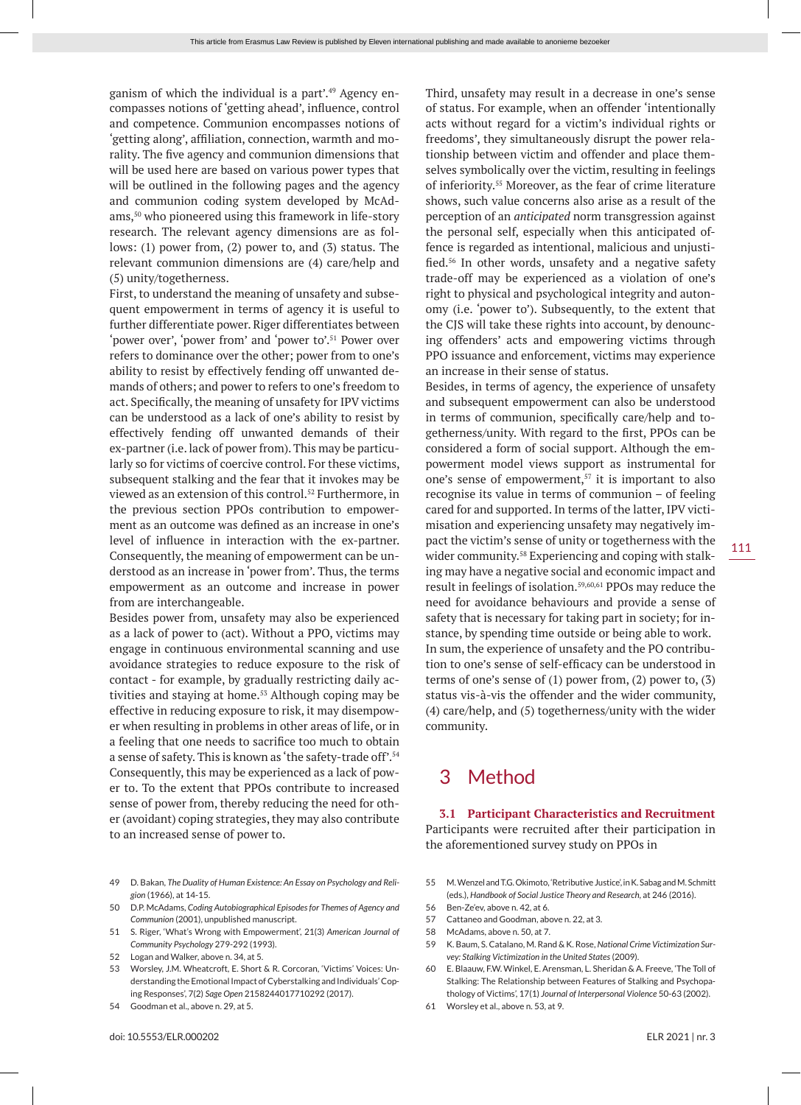ganism of which the individual is a part'.49 Agency encompasses notions of 'getting ahead', influence, control and competence. Communion encompasses notions of 'getting along', affiliation, connection, warmth and morality. The five agency and communion dimensions that will be used here are based on various power types that will be outlined in the following pages and the agency

and communion coding system developed by McAdams,50 who pioneered using this framework in life-story research. The relevant agency dimensions are as follows: (1) power from, (2) power to, and (3) status. The relevant communion dimensions are (4) care/help and (5) unity/togetherness.

First, to understand the meaning of unsafety and subsequent empowerment in terms of agency it is useful to further differentiate power. Riger differentiates between 'power over', 'power from' and 'power to'.51 Power over refers to dominance over the other; power from to one's ability to resist by effectively fending off unwanted demands of others; and power to refers to one's freedom to act. Specifically, the meaning of unsafety for IPV victims can be understood as a lack of one's ability to resist by effectively fending off unwanted demands of their ex-partner (i.e. lack of power from). This may be particularly so for victims of coercive control. For these victims, subsequent stalking and the fear that it invokes may be viewed as an extension of this control.52 Furthermore, in the previous section PPOs contribution to empowerment as an outcome was defined as an increase in one's level of influence in interaction with the ex-partner. Consequently, the meaning of empowerment can be understood as an increase in 'power from'. Thus, the terms empowerment as an outcome and increase in power from are interchangeable.

Besides power from, unsafety may also be experienced as a lack of power to (act). Without a PPO, victims may engage in continuous environmental scanning and use avoidance strategies to reduce exposure to the risk of contact - for example, by gradually restricting daily activities and staying at home.<sup>53</sup> Although coping may be effective in reducing exposure to risk, it may disempower when resulting in problems in other areas of life, or in a feeling that one needs to sacrifice too much to obtain a sense of safety. This is known as 'the safety-trade off'.54 Consequently, this may be experienced as a lack of power to. To the extent that PPOs contribute to increased sense of power from, thereby reducing the need for other (avoidant) coping strategies, they may also contribute to an increased sense of power to.

- 49 D. Bakan, *The Duality of Human Existence: An Essay on Psychology and Religion* (1966), at 14-15.
- 50 D.P. McAdams, *Coding Autobiographical Episodes for Themes of Agency and Communion* (2001), unpublished manuscript.
- 51 S. Riger, 'What's Wrong with Empowerment', 21(3) *American Journal of Community Psychology* 279-292 (1993).
- 52 Logan and Walker, above n. 34, at 5.
- 53 Worsley, J.M. Wheatcroft, E. Short & R. Corcoran, 'Victims' Voices: Understanding the Emotional Impact of Cyberstalking and Individuals' Coping Responses', 7(2) *Sage Open* 2158244017710292 (2017).
- 54 Goodman et al., above n. 29, at 5.

Third, unsafety may result in a decrease in one's sense of status. For example, when an offender 'intentionally acts without regard for a victim's individual rights or freedoms', they simultaneously disrupt the power relationship between victim and offender and place themselves symbolically over the victim, resulting in feelings of inferiority.55 Moreover, as the fear of crime literature shows, such value concerns also arise as a result of the perception of an *anticipated* norm transgression against the personal self, especially when this anticipated offence is regarded as intentional, malicious and unjustified.56 In other words, unsafety and a negative safety trade-off may be experienced as a violation of one's right to physical and psychological integrity and autonomy (i.e. 'power to'). Subsequently, to the extent that the CJS will take these rights into account, by denouncing offenders' acts and empowering victims through PPO issuance and enforcement, victims may experience an increase in their sense of status.

Besides, in terms of agency, the experience of unsafety and subsequent empowerment can also be understood in terms of communion, specifically care/help and togetherness/unity. With regard to the first, PPOs can be considered a form of social support. Although the empowerment model views support as instrumental for one's sense of empowerment,<sup>57</sup> it is important to also recognise its value in terms of communion – of feeling cared for and supported. In terms of the latter, IPV victimisation and experiencing unsafety may negatively impact the victim's sense of unity or togetherness with the wider community.<sup>58</sup> Experiencing and coping with stalking may have a negative social and economic impact and result in feelings of isolation.59,60,61 PPOs may reduce the need for avoidance behaviours and provide a sense of safety that is necessary for taking part in society; for instance, by spending time outside or being able to work. In sum, the experience of unsafety and the PO contribution to one's sense of self-efficacy can be understood in terms of one's sense of  $(1)$  power from,  $(2)$  power to,  $(3)$ status vis-à-vis the offender and the wider community, (4) care/help, and (5) togetherness/unity with the wider community.

# 3 Method

**3.1 Participant Characteristics and Recruitment** Participants were recruited after their participation in the aforementioned survey study on PPOs in

- 55 M. Wenzel and T.G. Okimoto, 'Retributive Justice', in K. Sabag and M. Schmitt (eds.), *Handbook of Social Justice Theory and Research*, at 246 (2016).
- 56 Ben-Ze'ev, above n. 42, at 6.
- 57 Cattaneo and Goodman, above n. 22, at 3.
- 58 McAdams, above n. 50, at 7.
- 59 K. Baum, S. Catalano, M. Rand & K. Rose, *National Crime Victimization Survey: Stalking Victimization in the United States* (2009).
- 60 E. Blaauw, F.W. Winkel, E. Arensman, L. Sheridan & A. Freeve, 'The Toll of Stalking: The Relationship between Features of Stalking and Psychopathology of Victims', 17(1) *Journal of Interpersonal Violence* 50-63 (2002).
- 61 Worsley et al., above n. 53, at 9.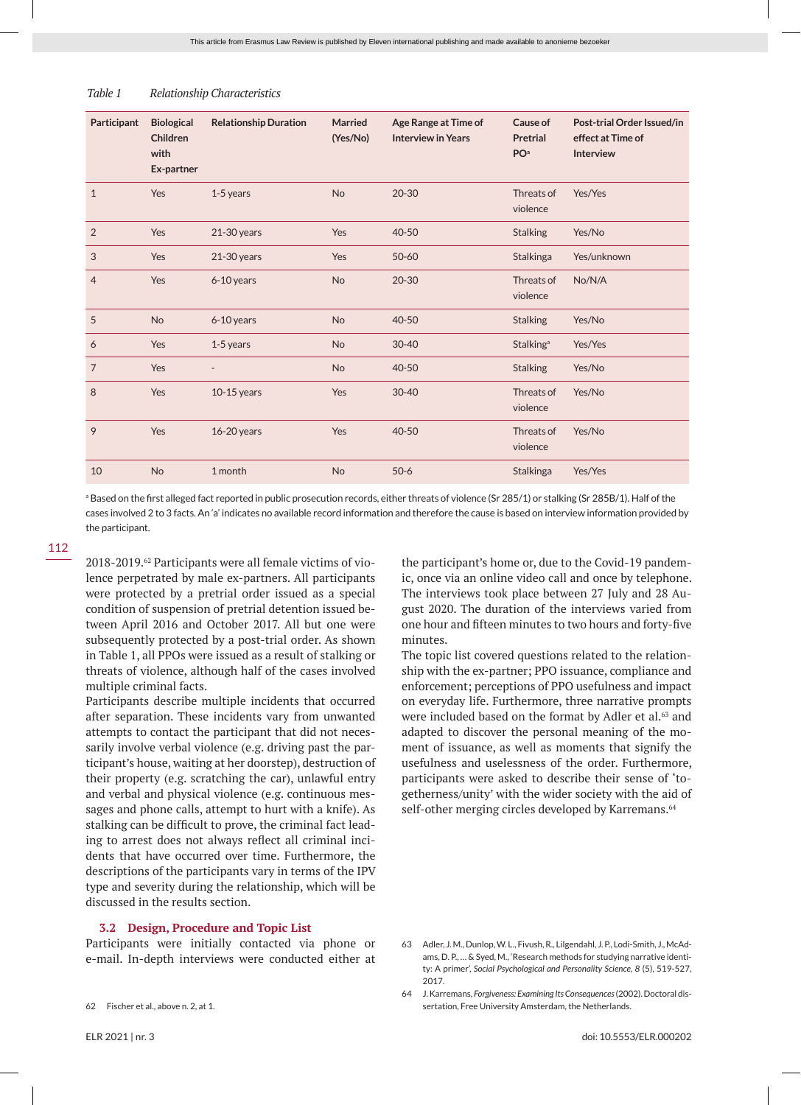| Participant<br><b>Biological</b><br><b>Relationship Duration</b><br><b>Married</b><br>Age Range at Time of<br>Children<br>(Yes/No)<br><b>Interview in Years</b><br>PO <sup>a</sup><br>with<br>Ex-partner<br>$\mathbf{1}$<br>$20 - 30$<br>Yes<br><b>No</b><br>1-5 years<br>2<br>Yes<br>40-50<br>$21-30$ years<br>Yes<br>3<br>Yes<br>Yes<br>$50 - 60$<br>$21-30$ years<br>$\overline{4}$<br>Yes<br><b>No</b><br>$20 - 30$<br>6-10 years<br>5<br>No<br><b>No</b><br>6-10 years<br>40-50<br>Yes<br>1-5 years<br><b>No</b><br>$30 - 40$<br>6<br>$\overline{7}$<br>Yes<br><b>No</b><br>40-50<br>8<br>Yes<br>$30 - 40$<br>$10-15$ years<br>Yes<br>9<br>Yes<br>40-50<br>16-20 years<br>Yes<br>10<br><b>No</b><br>1 month<br><b>No</b><br>$50-6$ |  |  |  |                        |                                                                     |
|-----------------------------------------------------------------------------------------------------------------------------------------------------------------------------------------------------------------------------------------------------------------------------------------------------------------------------------------------------------------------------------------------------------------------------------------------------------------------------------------------------------------------------------------------------------------------------------------------------------------------------------------------------------------------------------------------------------------------------------------|--|--|--|------------------------|---------------------------------------------------------------------|
|                                                                                                                                                                                                                                                                                                                                                                                                                                                                                                                                                                                                                                                                                                                                         |  |  |  | Cause of<br>Pretrial   | Post-trial Order Issued/in<br>effect at Time of<br><b>Interview</b> |
|                                                                                                                                                                                                                                                                                                                                                                                                                                                                                                                                                                                                                                                                                                                                         |  |  |  | Threats of<br>violence | Yes/Yes                                                             |
|                                                                                                                                                                                                                                                                                                                                                                                                                                                                                                                                                                                                                                                                                                                                         |  |  |  | <b>Stalking</b>        | Yes/No                                                              |
|                                                                                                                                                                                                                                                                                                                                                                                                                                                                                                                                                                                                                                                                                                                                         |  |  |  | Stalkinga              | Yes/unknown                                                         |
|                                                                                                                                                                                                                                                                                                                                                                                                                                                                                                                                                                                                                                                                                                                                         |  |  |  | Threats of<br>violence | No/N/A                                                              |
|                                                                                                                                                                                                                                                                                                                                                                                                                                                                                                                                                                                                                                                                                                                                         |  |  |  | <b>Stalking</b>        | Yes/No                                                              |
|                                                                                                                                                                                                                                                                                                                                                                                                                                                                                                                                                                                                                                                                                                                                         |  |  |  | Stalking <sup>a</sup>  | Yes/Yes                                                             |
|                                                                                                                                                                                                                                                                                                                                                                                                                                                                                                                                                                                                                                                                                                                                         |  |  |  | <b>Stalking</b>        | Yes/No                                                              |
|                                                                                                                                                                                                                                                                                                                                                                                                                                                                                                                                                                                                                                                                                                                                         |  |  |  | Threats of<br>violence | Yes/No                                                              |
|                                                                                                                                                                                                                                                                                                                                                                                                                                                                                                                                                                                                                                                                                                                                         |  |  |  | Threats of<br>violence | Yes/No                                                              |
|                                                                                                                                                                                                                                                                                                                                                                                                                                                                                                                                                                                                                                                                                                                                         |  |  |  | Stalkinga              | Yes/Yes                                                             |

# *Table 1 Relationship Characteristics*

a Based on the first alleged fact reported in public prosecution records, either threats of violence (Sr 285/1) or stalking (Sr 285B/1). Half of the cases involved 2 to 3 facts. An 'a' indicates no available record information and therefore the cause is based on interview information provided by the participant.

2018-2019.62 Participants were all female victims of violence perpetrated by male ex-partners. All participants were protected by a pretrial order issued as a special condition of suspension of pretrial detention issued between April 2016 and October 2017. All but one were subsequently protected by a post-trial order. As shown in Table 1, all PPOs were issued as a result of stalking or threats of violence, although half of the cases involved multiple criminal facts.

Participants describe multiple incidents that occurred after separation. These incidents vary from unwanted attempts to contact the participant that did not necessarily involve verbal violence (e.g. driving past the participant's house, waiting at her doorstep), destruction of their property (e.g. scratching the car), unlawful entry and verbal and physical violence (e.g. continuous messages and phone calls, attempt to hurt with a knife). As stalking can be difficult to prove, the criminal fact leading to arrest does not always reflect all criminal incidents that have occurred over time. Furthermore, the descriptions of the participants vary in terms of the IPV type and severity during the relationship, which will be discussed in the results section.

#### **3.2 Design, Procedure and Topic List**

Participants were initially contacted via phone or e-mail. In-depth interviews were conducted either at the participant's home or, due to the Covid-19 pandemic, once via an online video call and once by telephone. The interviews took place between 27 July and 28 August 2020. The duration of the interviews varied from one hour and fifteen minutes to two hours and forty-five minutes.

The topic list covered questions related to the relationship with the ex-partner; PPO issuance, compliance and enforcement; perceptions of PPO usefulness and impact on everyday life. Furthermore, three narrative prompts were included based on the format by Adler et al.<sup>63</sup> and adapted to discover the personal meaning of the moment of issuance, as well as moments that signify the usefulness and uselessness of the order. Furthermore, participants were asked to describe their sense of 'togetherness/unity' with the wider society with the aid of self-other merging circles developed by Karremans.<sup>64</sup>

<sup>62</sup> Fischer et al., above n. 2, at 1.

<sup>63</sup> Adler, J. M., Dunlop, W. L., Fivush, R., Lilgendahl, J. P., Lodi-Smith, J., McAdams, D. P., … & Syed, M., 'Research methods for studying narrative identity: A primer', *Social Psychological and Personality Science, 8* (5), 519-527, 2017.

<sup>64</sup> J. Karremans, *Forgiveness: Examining Its Consequences* (2002). Doctoral dissertation, Free University Amsterdam, the Netherlands.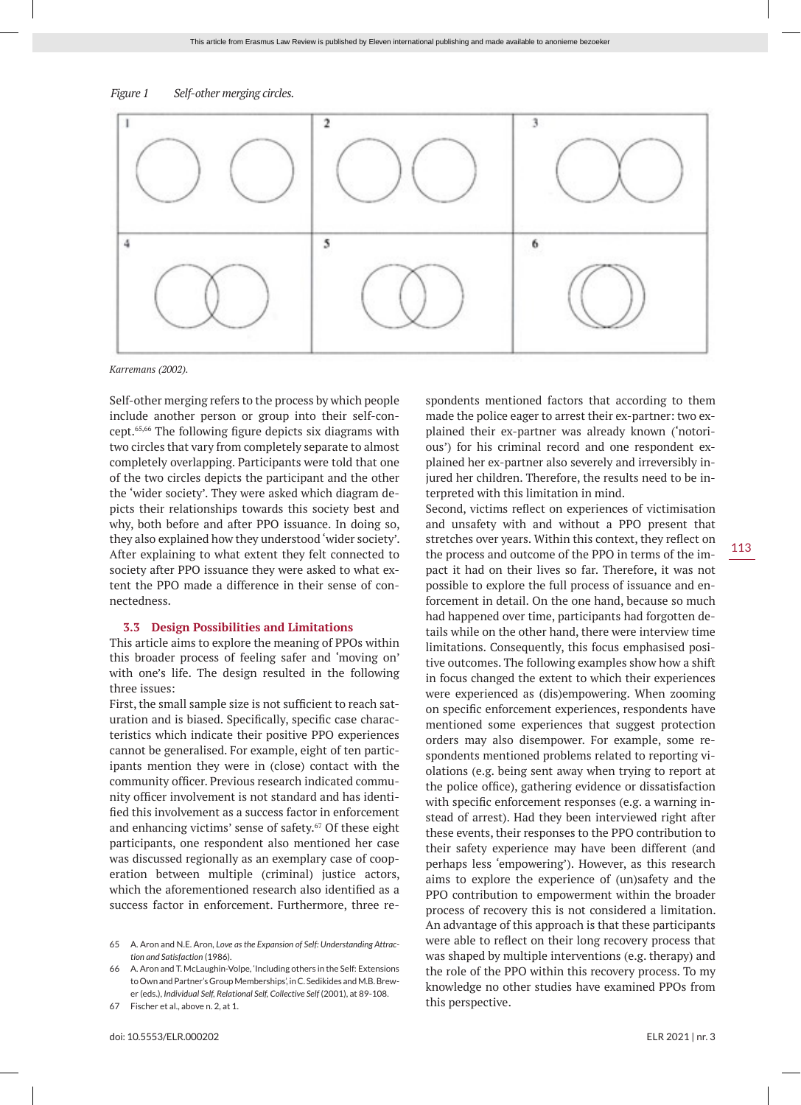



*Karremans (2002).*

Self-other merging refers to the process by which people include another person or group into their self-concept.65,66 The following figure depicts six diagrams with two circles that vary from completely separate to almost completely overlapping. Participants were told that one of the two circles depicts the participant and the other the 'wider society'. They were asked which diagram depicts their relationships towards this society best and why, both before and after PPO issuance. In doing so, they also explained how they understood 'wider society'. After explaining to what extent they felt connected to society after PPO issuance they were asked to what extent the PPO made a difference in their sense of connectedness.

#### **3.3 Design Possibilities and Limitations**

This article aims to explore the meaning of PPOs within this broader process of feeling safer and 'moving on' with one's life. The design resulted in the following three issues:

First, the small sample size is not sufficient to reach saturation and is biased. Specifically, specific case characteristics which indicate their positive PPO experiences cannot be generalised. For example, eight of ten participants mention they were in (close) contact with the community officer. Previous research indicated community officer involvement is not standard and has identified this involvement as a success factor in enforcement and enhancing victims' sense of safety.<sup>67</sup> Of these eight participants, one respondent also mentioned her case was discussed regionally as an exemplary case of cooperation between multiple (criminal) justice actors, which the aforementioned research also identified as a success factor in enforcement. Furthermore, three respondents mentioned factors that according to them made the police eager to arrest their ex-partner: two explained their ex-partner was already known ('notorious') for his criminal record and one respondent explained her ex-partner also severely and irreversibly injured her children. Therefore, the results need to be interpreted with this limitation in mind.

Second, victims reflect on experiences of victimisation and unsafety with and without a PPO present that stretches over years. Within this context, they reflect on the process and outcome of the PPO in terms of the impact it had on their lives so far. Therefore, it was not possible to explore the full process of issuance and enforcement in detail. On the one hand, because so much had happened over time, participants had forgotten details while on the other hand, there were interview time limitations. Consequently, this focus emphasised positive outcomes. The following examples show how a shift in focus changed the extent to which their experiences were experienced as (dis)empowering. When zooming on specific enforcement experiences, respondents have mentioned some experiences that suggest protection orders may also disempower. For example, some respondents mentioned problems related to reporting violations (e.g. being sent away when trying to report at the police office), gathering evidence or dissatisfaction with specific enforcement responses (e.g. a warning instead of arrest). Had they been interviewed right after these events, their responses to the PPO contribution to their safety experience may have been different (and perhaps less 'empowering'). However, as this research aims to explore the experience of (un)safety and the PPO contribution to empowerment within the broader process of recovery this is not considered a limitation. An advantage of this approach is that these participants were able to reflect on their long recovery process that was shaped by multiple interventions (e.g. therapy) and the role of the PPO within this recovery process. To my knowledge no other studies have examined PPOs from this perspective.

<sup>65</sup> A. Aron and N.E. Aron, *Love as the Expansion of Self: Understanding Attraction and Satisfaction* (1986).

<sup>66</sup> A. Aron and T. McLaughin-Volpe, 'Including others in the Self: Extensions to Own and Partner's Group Memberships', in C. Sedikides and M.B. Brewer (eds.), *Individual Self, Relational Self, Collective Self* (2001), at 89-108.

<sup>67</sup> Fischer et al., above n. 2, at 1.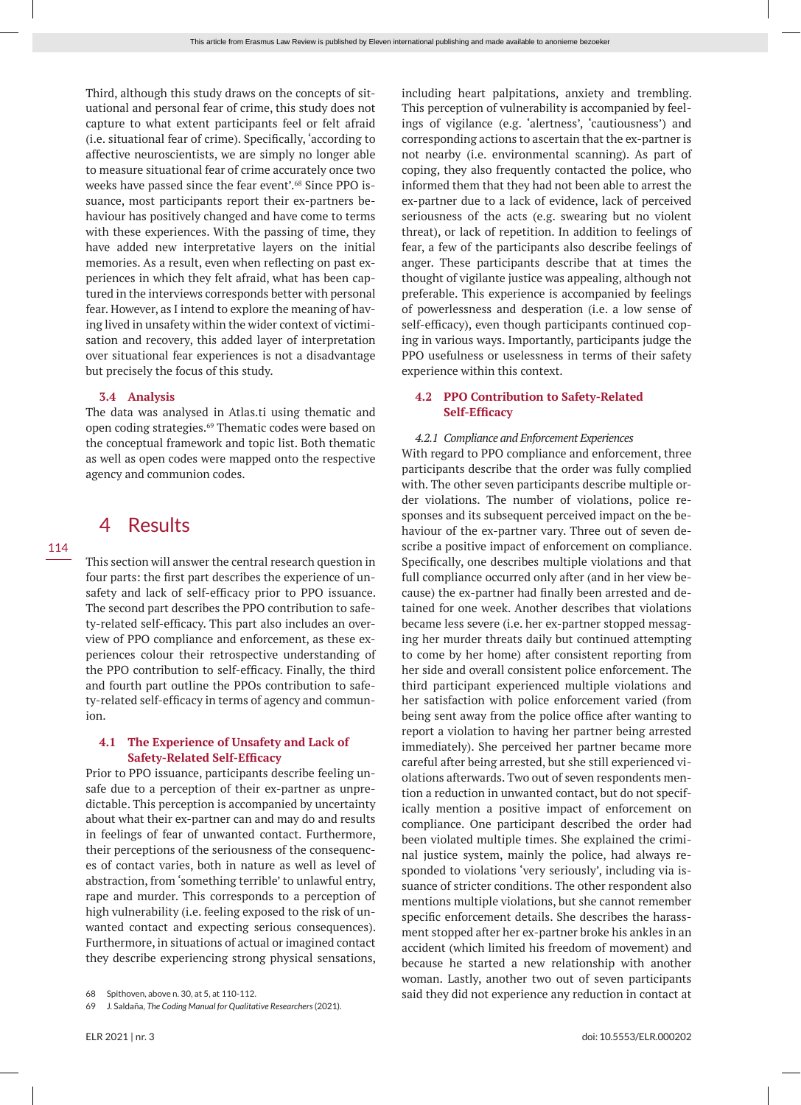Third, although this study draws on the concepts of situational and personal fear of crime, this study does not capture to what extent participants feel or felt afraid (i.e. situational fear of crime). Specifically, 'according to affective neuroscientists, we are simply no longer able to measure situational fear of crime accurately once two weeks have passed since the fear event'.<sup>68</sup> Since PPO issuance, most participants report their ex-partners behaviour has positively changed and have come to terms with these experiences. With the passing of time, they have added new interpretative layers on the initial memories. As a result, even when reflecting on past experiences in which they felt afraid, what has been captured in the interviews corresponds better with personal fear. However, as I intend to explore the meaning of having lived in unsafety within the wider context of victimisation and recovery, this added layer of interpretation over situational fear experiences is not a disadvantage but precisely the focus of this study.

### **3.4 Analysis**

The data was analysed in Atlas.ti using thematic and open coding strategies.<sup>69</sup> Thematic codes were based on the conceptual framework and topic list. Both thematic as well as open codes were mapped onto the respective agency and communion codes.

# 4 Results

This section will answer the central research question in four parts: the first part describes the experience of unsafety and lack of self-efficacy prior to PPO issuance. The second part describes the PPO contribution to safety-related self-efficacy. This part also includes an overview of PPO compliance and enforcement, as these experiences colour their retrospective understanding of the PPO contribution to self-efficacy. Finally, the third and fourth part outline the PPOs contribution to safety-related self-efficacy in terms of agency and communion.

# **4.1 The Experience of Unsafety and Lack of Safety-Related Self-Efficacy**

Prior to PPO issuance, participants describe feeling unsafe due to a perception of their ex-partner as unpredictable. This perception is accompanied by uncertainty about what their ex-partner can and may do and results in feelings of fear of unwanted contact. Furthermore, their perceptions of the seriousness of the consequences of contact varies, both in nature as well as level of abstraction, from 'something terrible' to unlawful entry, rape and murder. This corresponds to a perception of high vulnerability (i.e. feeling exposed to the risk of unwanted contact and expecting serious consequences). Furthermore, in situations of actual or imagined contact they describe experiencing strong physical sensations,

including heart palpitations, anxiety and trembling. This perception of vulnerability is accompanied by feelings of vigilance (e.g. 'alertness', 'cautiousness') and corresponding actions to ascertain that the ex-partner is not nearby (i.e. environmental scanning). As part of coping, they also frequently contacted the police, who informed them that they had not been able to arrest the ex-partner due to a lack of evidence, lack of perceived seriousness of the acts (e.g. swearing but no violent threat), or lack of repetition. In addition to feelings of fear, a few of the participants also describe feelings of anger. These participants describe that at times the thought of vigilante justice was appealing, although not preferable. This experience is accompanied by feelings of powerlessness and desperation (i.e. a low sense of self-efficacy), even though participants continued coping in various ways. Importantly, participants judge the PPO usefulness or uselessness in terms of their safety experience within this context.

# **4.2 PPO Contribution to Safety-Related Self-Efficacy**

### *4.2.1 Compliance and Enforcement Experiences*

With regard to PPO compliance and enforcement, three participants describe that the order was fully complied with. The other seven participants describe multiple order violations. The number of violations, police responses and its subsequent perceived impact on the behaviour of the ex-partner vary. Three out of seven describe a positive impact of enforcement on compliance. Specifically, one describes multiple violations and that full compliance occurred only after (and in her view because) the ex-partner had finally been arrested and detained for one week. Another describes that violations became less severe (i.e. her ex-partner stopped messaging her murder threats daily but continued attempting to come by her home) after consistent reporting from her side and overall consistent police enforcement. The third participant experienced multiple violations and her satisfaction with police enforcement varied (from being sent away from the police office after wanting to report a violation to having her partner being arrested immediately). She perceived her partner became more careful after being arrested, but she still experienced violations afterwards. Two out of seven respondents mention a reduction in unwanted contact, but do not specifically mention a positive impact of enforcement on compliance. One participant described the order had been violated multiple times. She explained the criminal justice system, mainly the police, had always responded to violations 'very seriously', including via issuance of stricter conditions. The other respondent also mentions multiple violations, but she cannot remember specific enforcement details. She describes the harassment stopped after her ex-partner broke his ankles in an accident (which limited his freedom of movement) and because he started a new relationship with another woman. Lastly, another two out of seven participants said they did not experience any reduction in contact at

<sup>68</sup> Spithoven, above n. 30, at 5, at 110-112.

<sup>69</sup> J. Saldaña, *The Coding Manual for Qualitative Researchers* (2021).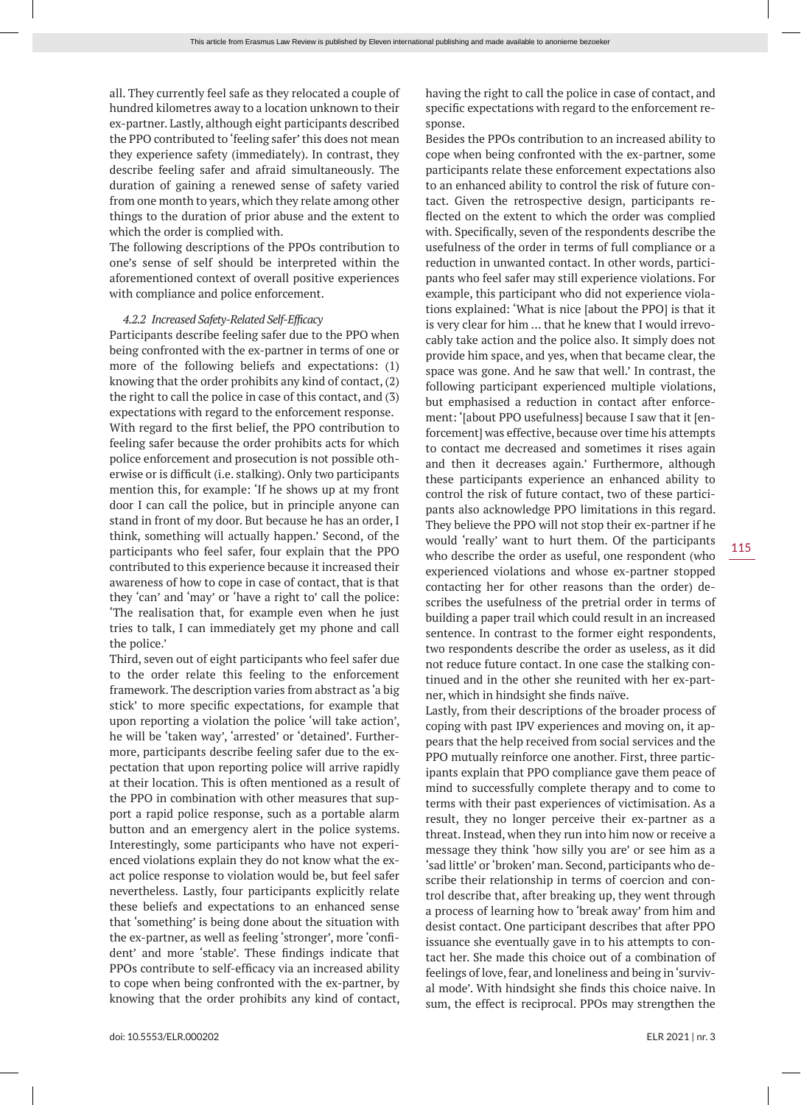all. They currently feel safe as they relocated a couple of hundred kilometres away to a location unknown to their ex-partner. Lastly, although eight participants described the PPO contributed to 'feeling safer' this does not mean they experience safety (immediately). In contrast, they describe feeling safer and afraid simultaneously. The duration of gaining a renewed sense of safety varied from one month to years, which they relate among other things to the duration of prior abuse and the extent to which the order is complied with.

The following descriptions of the PPOs contribution to one's sense of self should be interpreted within the aforementioned context of overall positive experiences with compliance and police enforcement.

#### *4.2.2 Increased Safety-Related Self-Efficacy*

Participants describe feeling safer due to the PPO when being confronted with the ex-partner in terms of one or more of the following beliefs and expectations: (1) knowing that the order prohibits any kind of contact, (2) the right to call the police in case of this contact, and (3) expectations with regard to the enforcement response. With regard to the first belief, the PPO contribution to feeling safer because the order prohibits acts for which police enforcement and prosecution is not possible otherwise or is difficult (i.e. stalking). Only two participants mention this, for example: 'If he shows up at my front door I can call the police, but in principle anyone can stand in front of my door. But because he has an order, I think, something will actually happen.' Second, of the participants who feel safer, four explain that the PPO contributed to this experience because it increased their awareness of how to cope in case of contact, that is that they 'can' and 'may' or 'have a right to' call the police: 'The realisation that, for example even when he just tries to talk, I can immediately get my phone and call the police.'

Third, seven out of eight participants who feel safer due to the order relate this feeling to the enforcement framework. The description varies from abstract as 'a big stick' to more specific expectations, for example that upon reporting a violation the police 'will take action', he will be 'taken way', 'arrested' or 'detained'. Furthermore, participants describe feeling safer due to the expectation that upon reporting police will arrive rapidly at their location. This is often mentioned as a result of the PPO in combination with other measures that support a rapid police response, such as a portable alarm button and an emergency alert in the police systems. Interestingly, some participants who have not experienced violations explain they do not know what the exact police response to violation would be, but feel safer nevertheless. Lastly, four participants explicitly relate these beliefs and expectations to an enhanced sense that 'something' is being done about the situation with the ex-partner, as well as feeling 'stronger', more 'confident' and more 'stable'. These findings indicate that PPOs contribute to self-efficacy via an increased ability to cope when being confronted with the ex-partner, by knowing that the order prohibits any kind of contact, having the right to call the police in case of contact, and specific expectations with regard to the enforcement response.

Besides the PPOs contribution to an increased ability to cope when being confronted with the ex-partner, some participants relate these enforcement expectations also to an enhanced ability to control the risk of future contact. Given the retrospective design, participants reflected on the extent to which the order was complied with. Specifically, seven of the respondents describe the usefulness of the order in terms of full compliance or a reduction in unwanted contact. In other words, participants who feel safer may still experience violations. For example, this participant who did not experience violations explained: 'What is nice [about the PPO] is that it is very clear for him … that he knew that I would irrevocably take action and the police also. It simply does not provide him space, and yes, when that became clear, the space was gone. And he saw that well.' In contrast, the following participant experienced multiple violations, but emphasised a reduction in contact after enforcement: '[about PPO usefulness] because I saw that it [enforcement] was effective, because over time his attempts to contact me decreased and sometimes it rises again and then it decreases again.' Furthermore, although these participants experience an enhanced ability to control the risk of future contact, two of these participants also acknowledge PPO limitations in this regard. They believe the PPO will not stop their ex-partner if he would 'really' want to hurt them. Of the participants who describe the order as useful, one respondent (who experienced violations and whose ex-partner stopped contacting her for other reasons than the order) describes the usefulness of the pretrial order in terms of building a paper trail which could result in an increased sentence. In contrast to the former eight respondents, two respondents describe the order as useless, as it did not reduce future contact. In one case the stalking continued and in the other she reunited with her ex-partner, which in hindsight she finds naïve.

Lastly, from their descriptions of the broader process of coping with past IPV experiences and moving on, it appears that the help received from social services and the PPO mutually reinforce one another. First, three participants explain that PPO compliance gave them peace of mind to successfully complete therapy and to come to terms with their past experiences of victimisation. As a result, they no longer perceive their ex-partner as a threat. Instead, when they run into him now or receive a message they think 'how silly you are' or see him as a 'sad little' or 'broken' man. Second, participants who describe their relationship in terms of coercion and control describe that, after breaking up, they went through a process of learning how to 'break away' from him and desist contact. One participant describes that after PPO issuance she eventually gave in to his attempts to contact her. She made this choice out of a combination of feelings of love, fear, and loneliness and being in 'survival mode'. With hindsight she finds this choice naive. In sum, the effect is reciprocal. PPOs may strengthen the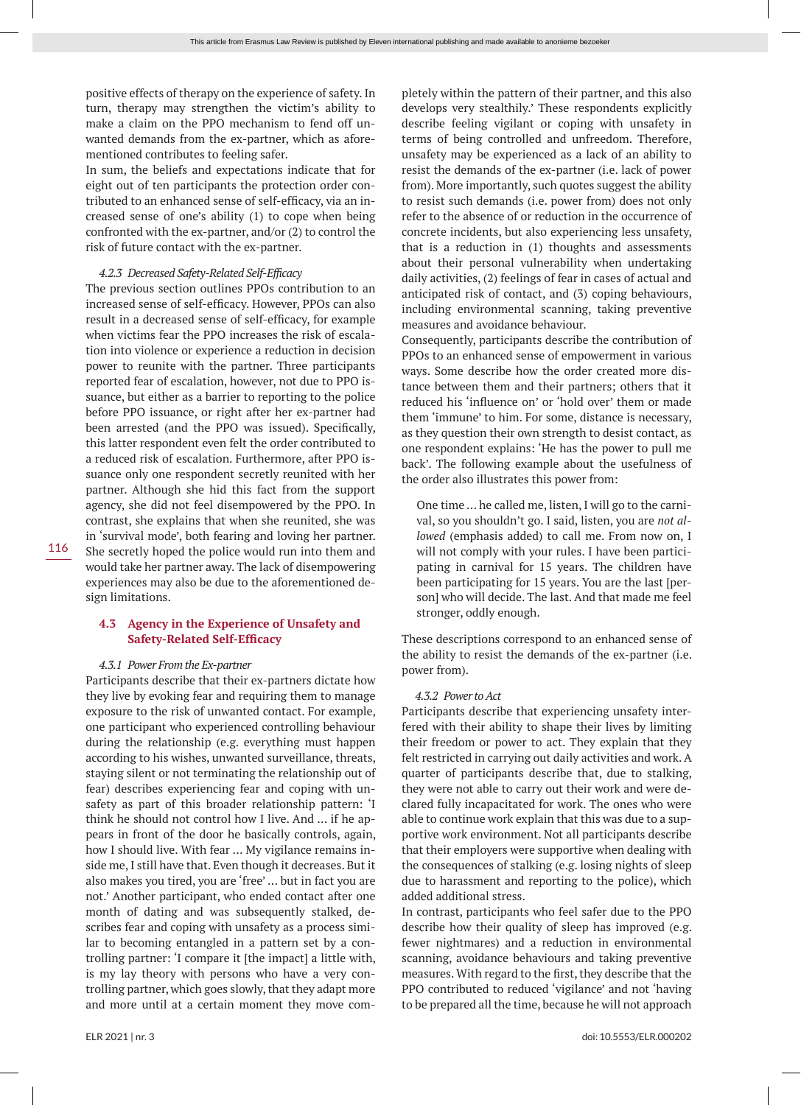positive effects of therapy on the experience of safety. In turn, therapy may strengthen the victim's ability to make a claim on the PPO mechanism to fend off unwanted demands from the ex-partner, which as aforementioned contributes to feeling safer.

In sum, the beliefs and expectations indicate that for eight out of ten participants the protection order contributed to an enhanced sense of self-efficacy, via an increased sense of one's ability (1) to cope when being confronted with the ex-partner, and/or (2) to control the risk of future contact with the ex-partner.

### *4.2.3 Decreased Safety-Related Self-Efficacy*

The previous section outlines PPOs contribution to an increased sense of self-efficacy. However, PPOs can also result in a decreased sense of self-efficacy, for example when victims fear the PPO increases the risk of escalation into violence or experience a reduction in decision power to reunite with the partner. Three participants reported fear of escalation, however, not due to PPO issuance, but either as a barrier to reporting to the police before PPO issuance, or right after her ex-partner had been arrested (and the PPO was issued). Specifically, this latter respondent even felt the order contributed to a reduced risk of escalation. Furthermore, after PPO issuance only one respondent secretly reunited with her partner. Although she hid this fact from the support agency, she did not feel disempowered by the PPO. In contrast, she explains that when she reunited, she was in 'survival mode', both fearing and loving her partner. She secretly hoped the police would run into them and would take her partner away. The lack of disempowering experiences may also be due to the aforementioned design limitations.

# **4.3 Agency in the Experience of Unsafety and Safety-Related Self-Efficacy**

#### *4.3.1 Power From the Ex-partner*

Participants describe that their ex-partners dictate how they live by evoking fear and requiring them to manage exposure to the risk of unwanted contact. For example, one participant who experienced controlling behaviour during the relationship (e.g. everything must happen according to his wishes, unwanted surveillance, threats, staying silent or not terminating the relationship out of fear) describes experiencing fear and coping with unsafety as part of this broader relationship pattern: 'I think he should not control how I live. And … if he appears in front of the door he basically controls, again, how I should live. With fear … My vigilance remains inside me, I still have that. Even though it decreases. But it also makes you tired, you are 'free' … but in fact you are not.' Another participant, who ended contact after one month of dating and was subsequently stalked, describes fear and coping with unsafety as a process similar to becoming entangled in a pattern set by a controlling partner: 'I compare it [the impact] a little with, is my lay theory with persons who have a very controlling partner, which goes slowly, that they adapt more and more until at a certain moment they move completely within the pattern of their partner, and this also develops very stealthily.' These respondents explicitly describe feeling vigilant or coping with unsafety in terms of being controlled and unfreedom. Therefore, unsafety may be experienced as a lack of an ability to resist the demands of the ex-partner (i.e. lack of power from). More importantly, such quotes suggest the ability to resist such demands (i.e. power from) does not only refer to the absence of or reduction in the occurrence of concrete incidents, but also experiencing less unsafety, that is a reduction in (1) thoughts and assessments about their personal vulnerability when undertaking daily activities, (2) feelings of fear in cases of actual and anticipated risk of contact, and (3) coping behaviours, including environmental scanning, taking preventive measures and avoidance behaviour.

Consequently, participants describe the contribution of PPOs to an enhanced sense of empowerment in various ways. Some describe how the order created more distance between them and their partners; others that it reduced his 'influence on' or 'hold over' them or made them 'immune' to him. For some, distance is necessary, as they question their own strength to desist contact, as one respondent explains: 'He has the power to pull me back'. The following example about the usefulness of the order also illustrates this power from:

One time … he called me, listen, I will go to the carnival, so you shouldn't go. I said, listen, you are *not allowed* (emphasis added) to call me. From now on, I will not comply with your rules. I have been participating in carnival for 15 years. The children have been participating for 15 years. You are the last [person] who will decide. The last. And that made me feel stronger, oddly enough.

These descriptions correspond to an enhanced sense of the ability to resist the demands of the ex-partner (i.e. power from).

#### *4.3.2 Power to Act*

Participants describe that experiencing unsafety interfered with their ability to shape their lives by limiting their freedom or power to act. They explain that they felt restricted in carrying out daily activities and work. A quarter of participants describe that, due to stalking, they were not able to carry out their work and were declared fully incapacitated for work. The ones who were able to continue work explain that this was due to a supportive work environment. Not all participants describe that their employers were supportive when dealing with the consequences of stalking (e.g. losing nights of sleep due to harassment and reporting to the police), which added additional stress.

In contrast, participants who feel safer due to the PPO describe how their quality of sleep has improved (e.g. fewer nightmares) and a reduction in environmental scanning, avoidance behaviours and taking preventive measures. With regard to the first, they describe that the PPO contributed to reduced 'vigilance' and not 'having to be prepared all the time, because he will not approach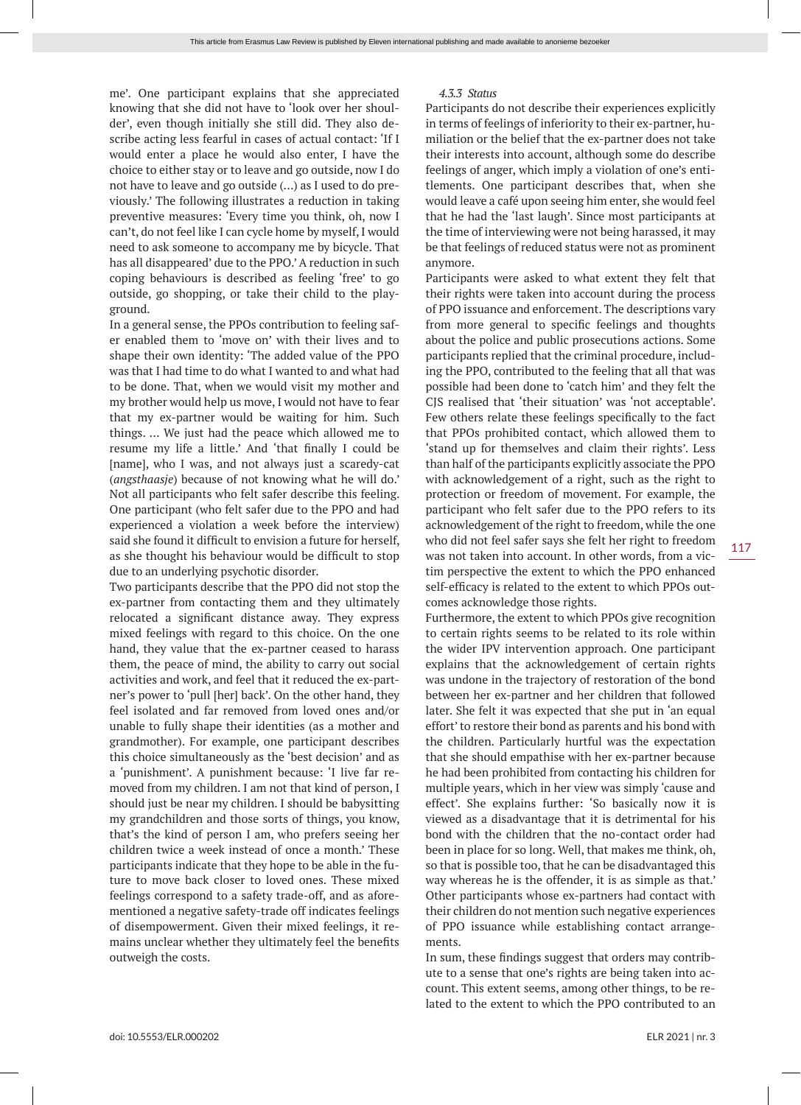me'. One participant explains that she appreciated knowing that she did not have to 'look over her shoulder', even though initially she still did. They also describe acting less fearful in cases of actual contact: 'If I would enter a place he would also enter, I have the choice to either stay or to leave and go outside, now I do not have to leave and go outside (…) as I used to do previously.' The following illustrates a reduction in taking preventive measures: 'Every time you think, oh, now I can't, do not feel like I can cycle home by myself, I would need to ask someone to accompany me by bicycle. That has all disappeared' due to the PPO.' A reduction in such coping behaviours is described as feeling 'free' to go outside, go shopping, or take their child to the playground.

In a general sense, the PPOs contribution to feeling safer enabled them to 'move on' with their lives and to shape their own identity: 'The added value of the PPO was that I had time to do what I wanted to and what had to be done. That, when we would visit my mother and my brother would help us move, I would not have to fear that my ex-partner would be waiting for him. Such things. … We just had the peace which allowed me to resume my life a little.' And 'that finally I could be [name], who I was, and not always just a scaredy-cat (*angsthaasje*) because of not knowing what he will do.' Not all participants who felt safer describe this feeling. One participant (who felt safer due to the PPO and had experienced a violation a week before the interview) said she found it difficult to envision a future for herself, as she thought his behaviour would be difficult to stop due to an underlying psychotic disorder.

Two participants describe that the PPO did not stop the ex-partner from contacting them and they ultimately relocated a significant distance away. They express mixed feelings with regard to this choice. On the one hand, they value that the ex-partner ceased to harass them, the peace of mind, the ability to carry out social activities and work, and feel that it reduced the ex-partner's power to 'pull [her] back'. On the other hand, they feel isolated and far removed from loved ones and/or unable to fully shape their identities (as a mother and grandmother). For example, one participant describes this choice simultaneously as the 'best decision' and as a 'punishment'. A punishment because: 'I live far removed from my children. I am not that kind of person, I should just be near my children. I should be babysitting my grandchildren and those sorts of things, you know, that's the kind of person I am, who prefers seeing her children twice a week instead of once a month.' These participants indicate that they hope to be able in the future to move back closer to loved ones. These mixed feelings correspond to a safety trade-off, and as aforementioned a negative safety-trade off indicates feelings of disempowerment. Given their mixed feelings, it remains unclear whether they ultimately feel the benefits outweigh the costs.

### *4.3.3 Status*

Participants do not describe their experiences explicitly in terms of feelings of inferiority to their ex-partner, humiliation or the belief that the ex-partner does not take their interests into account, although some do describe feelings of anger, which imply a violation of one's entitlements. One participant describes that, when she would leave a café upon seeing him enter, she would feel that he had the 'last laugh'. Since most participants at the time of interviewing were not being harassed, it may be that feelings of reduced status were not as prominent anymore.

Participants were asked to what extent they felt that their rights were taken into account during the process of PPO issuance and enforcement. The descriptions vary from more general to specific feelings and thoughts about the police and public prosecutions actions. Some participants replied that the criminal procedure, including the PPO, contributed to the feeling that all that was possible had been done to 'catch him' and they felt the CJS realised that 'their situation' was 'not acceptable'. Few others relate these feelings specifically to the fact that PPOs prohibited contact, which allowed them to 'stand up for themselves and claim their rights'. Less than half of the participants explicitly associate the PPO with acknowledgement of a right, such as the right to protection or freedom of movement. For example, the participant who felt safer due to the PPO refers to its acknowledgement of the right to freedom, while the one who did not feel safer says she felt her right to freedom was not taken into account. In other words, from a victim perspective the extent to which the PPO enhanced self-efficacy is related to the extent to which PPOs outcomes acknowledge those rights.

Furthermore, the extent to which PPOs give recognition to certain rights seems to be related to its role within the wider IPV intervention approach. One participant explains that the acknowledgement of certain rights was undone in the trajectory of restoration of the bond between her ex-partner and her children that followed later. She felt it was expected that she put in 'an equal effort' to restore their bond as parents and his bond with the children. Particularly hurtful was the expectation that she should empathise with her ex-partner because he had been prohibited from contacting his children for multiple years, which in her view was simply 'cause and effect'. She explains further: 'So basically now it is viewed as a disadvantage that it is detrimental for his bond with the children that the no-contact order had been in place for so long. Well, that makes me think, oh, so that is possible too, that he can be disadvantaged this way whereas he is the offender, it is as simple as that.' Other participants whose ex-partners had contact with their children do not mention such negative experiences of PPO issuance while establishing contact arrangements.

In sum, these findings suggest that orders may contribute to a sense that one's rights are being taken into account. This extent seems, among other things, to be related to the extent to which the PPO contributed to an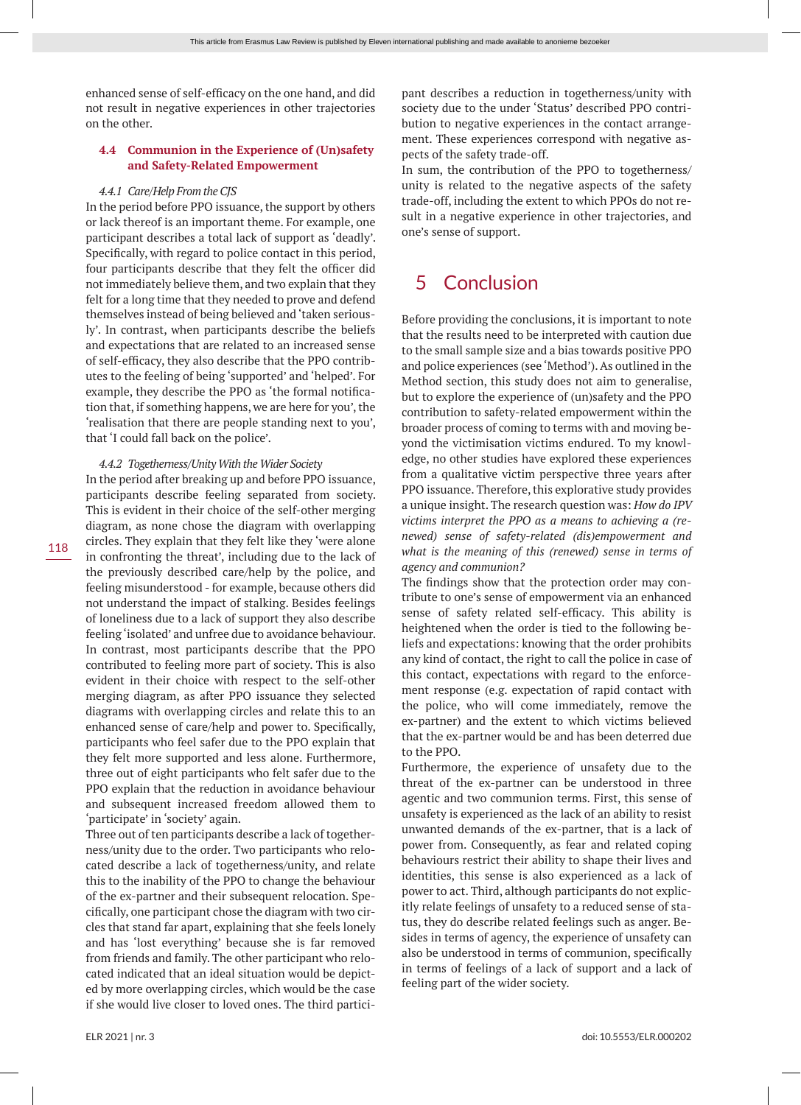enhanced sense of self-efficacy on the one hand, and did not result in negative experiences in other trajectories on the other.

# **4.4 Communion in the Experience of (Un)safety and Safety-Related Empowerment**

#### *4.4.1 Care/Help From the CJS*

In the period before PPO issuance, the support by others or lack thereof is an important theme. For example, one participant describes a total lack of support as 'deadly'. Specifically, with regard to police contact in this period, four participants describe that they felt the officer did not immediately believe them, and two explain that they felt for a long time that they needed to prove and defend themselves instead of being believed and 'taken seriously'. In contrast, when participants describe the beliefs and expectations that are related to an increased sense of self-efficacy, they also describe that the PPO contributes to the feeling of being 'supported' and 'helped'. For example, they describe the PPO as 'the formal notification that, if something happens, we are here for you', the 'realisation that there are people standing next to you', that 'I could fall back on the police'.

*4.4.2 Togetherness/Unity With the Wider Society*

In the period after breaking up and before PPO issuance, participants describe feeling separated from society. This is evident in their choice of the self-other merging diagram, as none chose the diagram with overlapping circles. They explain that they felt like they 'were alone in confronting the threat', including due to the lack of the previously described care/help by the police, and feeling misunderstood - for example, because others did not understand the impact of stalking. Besides feelings of loneliness due to a lack of support they also describe feeling 'isolated' and unfree due to avoidance behaviour. In contrast, most participants describe that the PPO contributed to feeling more part of society. This is also evident in their choice with respect to the self-other merging diagram, as after PPO issuance they selected diagrams with overlapping circles and relate this to an enhanced sense of care/help and power to. Specifically, participants who feel safer due to the PPO explain that they felt more supported and less alone. Furthermore, three out of eight participants who felt safer due to the PPO explain that the reduction in avoidance behaviour and subsequent increased freedom allowed them to 'participate' in 'society' again.

Three out of ten participants describe a lack of togetherness/unity due to the order. Two participants who relocated describe a lack of togetherness/unity, and relate this to the inability of the PPO to change the behaviour of the ex-partner and their subsequent relocation. Specifically, one participant chose the diagram with two circles that stand far apart, explaining that she feels lonely and has 'lost everything' because she is far removed from friends and family. The other participant who relocated indicated that an ideal situation would be depicted by more overlapping circles, which would be the case if she would live closer to loved ones. The third participant describes a reduction in togetherness/unity with society due to the under 'Status' described PPO contribution to negative experiences in the contact arrangement. These experiences correspond with negative aspects of the safety trade-off.

In sum, the contribution of the PPO to togetherness/ unity is related to the negative aspects of the safety trade-off, including the extent to which PPOs do not result in a negative experience in other trajectories, and one's sense of support.

# 5 Conclusion

Before providing the conclusions, it is important to note that the results need to be interpreted with caution due to the small sample size and a bias towards positive PPO and police experiences (see 'Method'). As outlined in the Method section, this study does not aim to generalise, but to explore the experience of (un)safety and the PPO contribution to safety-related empowerment within the broader process of coming to terms with and moving beyond the victimisation victims endured. To my knowledge, no other studies have explored these experiences from a qualitative victim perspective three years after PPO issuance. Therefore, this explorative study provides a unique insight. The research question was: *How do IPV victims interpret the PPO as a means to achieving a (renewed) sense of safety-related (dis)empowerment and what is the meaning of this (renewed) sense in terms of agency and communion?*

The findings show that the protection order may contribute to one's sense of empowerment via an enhanced sense of safety related self-efficacy. This ability is heightened when the order is tied to the following beliefs and expectations: knowing that the order prohibits any kind of contact, the right to call the police in case of this contact, expectations with regard to the enforcement response (e.g. expectation of rapid contact with the police, who will come immediately, remove the ex-partner) and the extent to which victims believed that the ex-partner would be and has been deterred due to the PPO.

Furthermore, the experience of unsafety due to the threat of the ex-partner can be understood in three agentic and two communion terms. First, this sense of unsafety is experienced as the lack of an ability to resist unwanted demands of the ex-partner, that is a lack of power from. Consequently, as fear and related coping behaviours restrict their ability to shape their lives and identities, this sense is also experienced as a lack of power to act. Third, although participants do not explicitly relate feelings of unsafety to a reduced sense of status, they do describe related feelings such as anger. Besides in terms of agency, the experience of unsafety can also be understood in terms of communion, specifically in terms of feelings of a lack of support and a lack of feeling part of the wider society.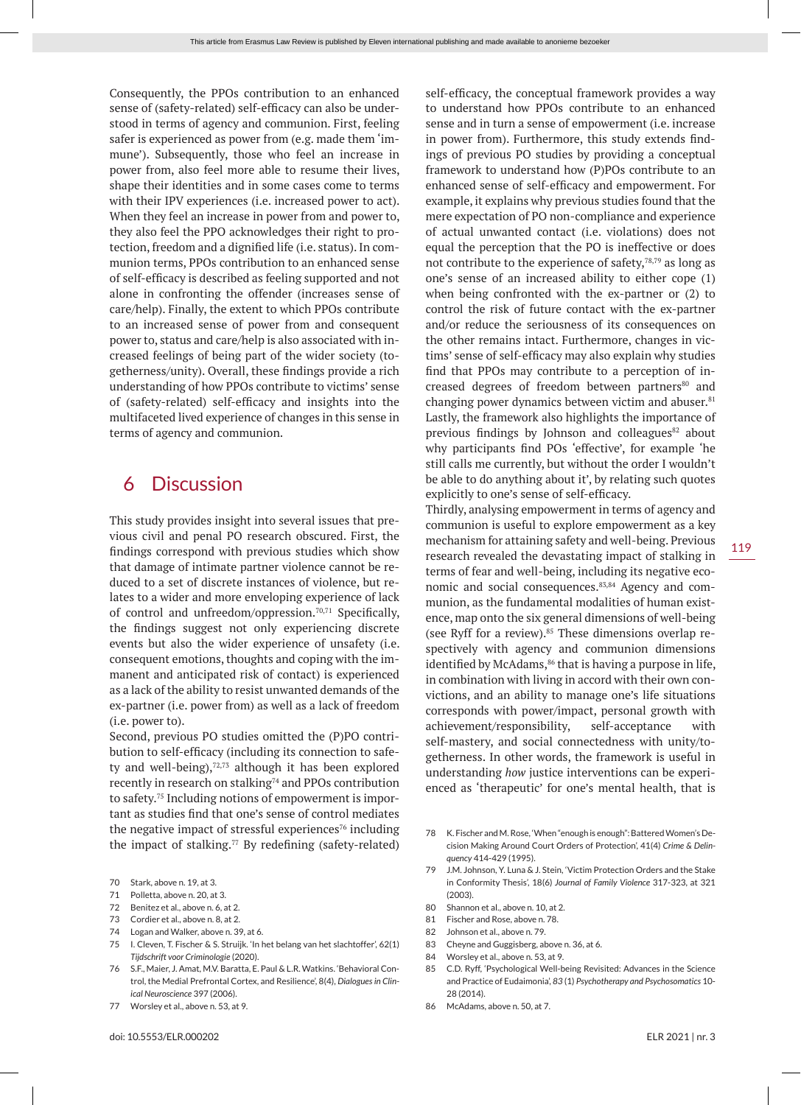Consequently, the PPOs contribution to an enhanced sense of (safety-related) self-efficacy can also be understood in terms of agency and communion. First, feeling safer is experienced as power from (e.g. made them 'immune'). Subsequently, those who feel an increase in power from, also feel more able to resume their lives, shape their identities and in some cases come to terms with their IPV experiences (i.e. increased power to act). When they feel an increase in power from and power to, they also feel the PPO acknowledges their right to protection, freedom and a dignified life (i.e. status). In communion terms, PPOs contribution to an enhanced sense of self-efficacy is described as feeling supported and not alone in confronting the offender (increases sense of care/help). Finally, the extent to which PPOs contribute to an increased sense of power from and consequent power to, status and care/help is also associated with increased feelings of being part of the wider society (togetherness/unity). Overall, these findings provide a rich understanding of how PPOs contribute to victims' sense of (safety-related) self-efficacy and insights into the multifaceted lived experience of changes in this sense in terms of agency and communion.

# 6 Discussion

This study provides insight into several issues that previous civil and penal PO research obscured. First, the findings correspond with previous studies which show that damage of intimate partner violence cannot be reduced to a set of discrete instances of violence, but relates to a wider and more enveloping experience of lack of control and unfreedom/oppression.<sup>70,71</sup> Specifically, the findings suggest not only experiencing discrete events but also the wider experience of unsafety (i.e. consequent emotions, thoughts and coping with the immanent and anticipated risk of contact) is experienced as a lack of the ability to resist unwanted demands of the ex-partner (i.e. power from) as well as a lack of freedom (i.e. power to).

Second, previous PO studies omitted the (P)PO contribution to self-efficacy (including its connection to safety and well-being),<sup>72,73</sup> although it has been explored recently in research on stalking<sup>74</sup> and PPOs contribution to safety.75 Including notions of empowerment is important as studies find that one's sense of control mediates the negative impact of stressful experiences<sup>76</sup> including the impact of stalking.<sup>77</sup> By redefining (safety-related)

- 70 Stark, above n. 19, at 3.
- 71 Polletta, above n. 20, at 3.
- 72 Benitez et al., above n. 6, at 2.
- 73 Cordier et al., above n. 8, at 2.
- 74 Logan and Walker, above n. 39, at 6.
- 75 I. Cleven, T. Fischer & S. Struijk. 'In het belang van het slachtoffer', 62(1) *Tijdschrift voor Criminologie* (2020).
- 76 S.F., Maier, J. Amat, M.V. Baratta, E. Paul & L.R. Watkins. 'Behavioral Control, the Medial Prefrontal Cortex, and Resilience', 8(4), *Dialogues in Clinical Neuroscience* 397 (2006).
- 77 Worsley et al., above n. 53, at 9.

self-efficacy, the conceptual framework provides a way to understand how PPOs contribute to an enhanced sense and in turn a sense of empowerment (i.e. increase in power from). Furthermore, this study extends findings of previous PO studies by providing a conceptual framework to understand how (P)POs contribute to an enhanced sense of self-efficacy and empowerment. For example, it explains why previous studies found that the mere expectation of PO non-compliance and experience of actual unwanted contact (i.e. violations) does not equal the perception that the PO is ineffective or does not contribute to the experience of safety,  $78,79$  as long as one's sense of an increased ability to either cope (1) when being confronted with the ex-partner or (2) to control the risk of future contact with the ex-partner and/or reduce the seriousness of its consequences on the other remains intact. Furthermore, changes in victims' sense of self-efficacy may also explain why studies find that PPOs may contribute to a perception of increased degrees of freedom between partners<sup>80</sup> and changing power dynamics between victim and abuser. $81$ Lastly, the framework also highlights the importance of previous findings by Johnson and colleagues<sup>82</sup> about why participants find POs 'effective', for example 'he still calls me currently, but without the order I wouldn't be able to do anything about it', by relating such quotes explicitly to one's sense of self-efficacy.

Thirdly, analysing empowerment in terms of agency and communion is useful to explore empowerment as a key mechanism for attaining safety and well-being. Previous research revealed the devastating impact of stalking in terms of fear and well-being, including its negative economic and social consequences.<sup>83,84</sup> Agency and communion, as the fundamental modalities of human existence, map onto the six general dimensions of well-being (see Ryff for a review).<sup>85</sup> These dimensions overlap respectively with agency and communion dimensions identified by McAdams, $86$  that is having a purpose in life, in combination with living in accord with their own convictions, and an ability to manage one's life situations corresponds with power/impact, personal growth with achievement/responsibility, self-acceptance with self-mastery, and social connectedness with unity/togetherness. In other words, the framework is useful in understanding *how* justice interventions can be experienced as 'therapeutic' for one's mental health, that is

- 78 K. Fischer and M. Rose, 'When "enough is enough": Battered Women's Decision Making Around Court Orders of Protection', 41(4) *Crime & Delinquency* 414-429 (1995).
- 79 J.M. Johnson, Y. Luna & J. Stein, 'Victim Protection Orders and the Stake in Conformity Thesis', 18(6) *Journal of Family Violence* 317-323, at 321  $(2003)$
- 80 Shannon et al., above n. 10, at 2.
- 81 Fischer and Rose, above n. 78.
- 82 Johnson et al., above n. 79.
- 83 Cheyne and Guggisberg, above n. 36, at 6.
- 84 Worsley et al., above n. 53, at 9.
- 85 C.D. Ryff, 'Psychological Well-being Revisited: Advances in the Science and Practice of Eudaimonia', *83* (1) *Psychotherapy and Psychosomatics* 10- 28 (2014).
- 86 McAdams, above n. 50, at 7.